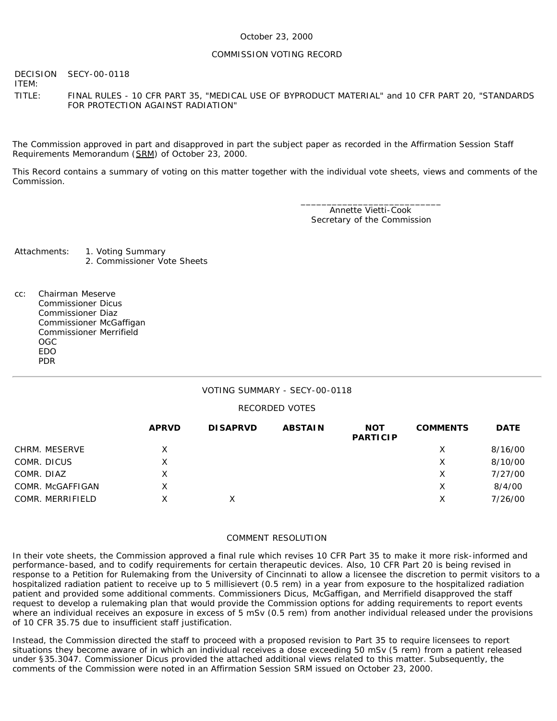#### COMMISSION VOTING RECORD

DECISION ITEM: SECY-00-0118

TITLE: FINAL RULES - 10 CFR PART 35, "MEDICAL USE OF BYPRODUCT MATERIAL" and 10 CFR PART 20, "STANDARDS FOR PROTECTION AGAINST RADIATION"

The Commission approved in part and disapproved in part the subject paper as recorded in the Affirmation Session Staff Requirements Memorandum (SRM) of October 23, 2000.

This Record contains a summary of voting on this matter together with the individual vote sheets, views and comments of the Commission.

> \_\_\_\_\_\_\_\_\_\_\_\_\_\_\_\_\_\_\_\_\_\_\_\_\_\_\_ Annette Vietti-Cook Secretary of the Commission

Attachments: 1. Voting Summary 2. Commissioner Vote Sheets

cc: Chairman Meserve Commissioner Dicus Commissioner Diaz Commissioner McGaffigan Commissioner Merrifield OGC EDO PDR

#### VOTING SUMMARY - SECY-00-0118

#### RECORDED VOTES

|                  | <b>APRVD</b> | <b>DISAPRVD</b> | <b>ABSTAIN</b> | <b>NOT</b><br><b>PARTICIP</b> | <b>COMMENTS</b> | <b>DATE</b> |
|------------------|--------------|-----------------|----------------|-------------------------------|-----------------|-------------|
| CHRM. MESERVE    | Χ            |                 |                |                               | Х               | 8/16/00     |
| COMR. DICUS      | Χ            |                 |                |                               | X               | 8/10/00     |
| COMR. DIAZ       | Χ            |                 |                |                               | Х               | 7/27/00     |
| COMR. McGAFFIGAN | X            |                 |                |                               | Χ               | 8/4/00      |
| COMR. MERRIFIELD | x            |                 |                |                               | Χ               | 7/26/00     |

#### COMMENT RESOLUTION

In their vote sheets, the Commission approved a final rule which revises 10 CFR Part 35 to make it more risk-informed and performance-based, and to codify requirements for certain therapeutic devices. Also, 10 CFR Part 20 is being revised in response to a Petition for Rulemaking from the University of Cincinnati to allow a licensee the discretion to permit visitors to a hospitalized radiation patient to receive up to 5 millisievert (0.5 rem) in a year from exposure to the hospitalized radiation patient and provided some additional comments. Commissioners Dicus, McGaffigan, and Merrifield disapproved the staff request to develop a rulemaking plan that would provide the Commission options for adding requirements to report events where an individual receives an exposure in excess of 5 mSv (0.5 rem) from another individual released under the provisions of 10 CFR 35.75 due to insufficient staff justification.

Instead, the Commission directed the staff to proceed with a proposed revision to Part 35 to require licensees to report situations they become aware of in which an individual receives a dose exceeding 50 mSv (5 rem) from a patient released under §35.3047. Commissioner Dicus provided the attached additional views related to this matter. Subsequently, the comments of the Commission were noted in an Affirmation Session SRM issued on October 23, 2000.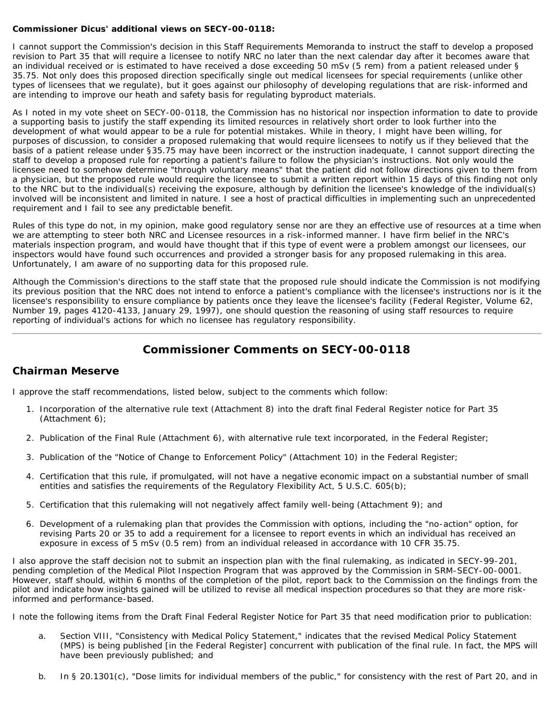#### **Commissioner Dicus' additional views on SECY-00-0118:**

I cannot support the Commission's decision in this Staff Requirements Memoranda to instruct the staff to develop a proposed revision to Part 35 that will require a licensee to notify NRC no later than the next calendar day after it becomes aware that an individual received or is estimated to have received a dose exceeding 50 mSv (5 rem) from a patient released under § 35.75. Not only does this proposed direction specifically single out medical licensees for special requirements (unlike other types of licensees that we regulate), but it goes against our philosophy of developing regulations that are risk-informed and are intending to improve our heath and safety basis for regulating byproduct materials.

As I noted in my vote sheet on SECY-00-0118, the Commission has no historical nor inspection information to date to provide a supporting basis to justify the staff expending its limited resources in relatively short order to look further into the development of what would appear to be a rule for *potential* mistakes. While in theory, I might have been willing, for purposes of discussion, to consider a proposed rulemaking that would require licensees to notify us if they believed that the basis of a patient release under §35.75 may have been incorrect or the instruction inadequate, I cannot support directing the staff to develop a proposed rule for reporting a patient's failure to follow the physician's instructions. Not only would the licensee need to somehow determine "through voluntary means" that the patient did not follow directions given to them from a physician, but the proposed rule would require the licensee to submit a written report within 15 days of this finding not only to the NRC but to the individual(s) receiving the exposure, although by definition the licensee's knowledge of the individual(s) involved will be inconsistent and limited in nature. I see a host of practical difficulties in implementing such an unprecedented requirement and I fail to see any predictable benefit.

Rules of this type do not, in my opinion, make good regulatory sense nor are they an effective use of resources at a time when we are attempting to steer both NRC and Licensee resources in a risk-informed manner. I have firm belief in the NRC's materials inspection program, and would have thought that if this type of event were a problem amongst our licensees, our inspectors would have found such occurrences and provided a stronger basis for any proposed rulemaking in this area. Unfortunately, I am aware of no supporting data for this proposed rule.

Although the Commission's directions to the staff state that the proposed rule should indicate the Commission is not modifying its previous position that the NRC does not intend to enforce a patient's compliance with the licensee's instructions nor is it the licensee's responsibility to ensure compliance by patients once they leave the licensee's facility (Federal Register, Volume 62, Number 19, pages 4120-4133, January 29, 1997), one should question the reasoning of using staff resources to require reporting of individual's actions for which no licensee has regulatory responsibility.

# **Commissioner Comments on SECY-00-0118**

### **Chairman Meserve**

I approve the staff recommendations, listed below, subject to the comments which follow:

- 1. Incorporation of the alternative rule text (Attachment 8) into the draft final Federal Register notice for Part 35 (Attachment 6);
- 2. Publication of the Final Rule (Attachment 6), with alternative rule text incorporated, in the Federal Register;
- 3. Publication of the "Notice of Change to Enforcement Policy" (Attachment 10) in the Federal Register;
- 4. Certification that this rule, if promulgated, will not have a negative economic impact on a substantial number of small entities and satisfies the requirements of the Regulatory Flexibility Act, 5 U.S.C. 605(b);
- 5. Certification that this rulemaking will not negatively affect family well-being (Attachment 9); and
- 6. Development of a rulemaking plan that provides the Commission with options, including the "no-action" option, for revising Parts 20 or 35 to add a requirement for a licensee to report events in which an individual has received an exposure in excess of 5 mSv (0.5 rem) from an individual released in accordance with 10 CFR 35.75.

I also approve the staff decision not to submit an inspection plan with the final rulemaking, as indicated in SECY-99-201, pending completion of the Medical Pilot Inspection Program that was approved by the Commission in SRM-SECY-00-0001. However, staff should, within 6 months of the completion of the pilot, report back to the Commission on the findings from the pilot and indicate how insights gained will be utilized to revise all medical inspection procedures so that they are more riskinformed and performance-based.

I note the following items from the Draft Final Federal Register Notice for Part 35 that need modification prior to publication:

- a. Section VIII, "Consistency with Medical Policy Statement," indicates that the revised Medical Policy Statement (MPS) is being published [in the Federal Register] concurrent with publication of the final rule. In fact, the MPS will have been previously published; and
- b. In § 20.1301(c), "Dose limits for individual members of the public," for consistency with the rest of Part 20, and in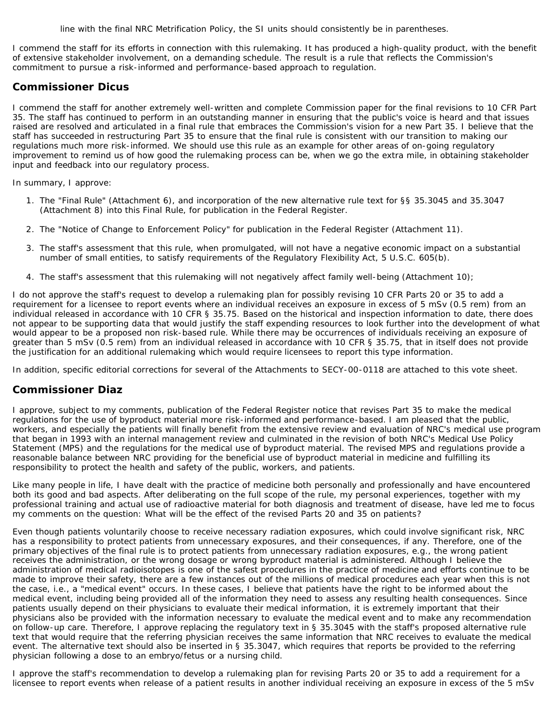line with the final NRC Metrification Policy, the SI units should consistently be in parentheses.

I commend the staff for its efforts in connection with this rulemaking. It has produced a high-quality product, with the benefit of extensive stakeholder involvement, on a demanding schedule. The result is a rule that reflects the Commission's commitment to pursue a risk-informed and performance-based approach to regulation.

### **Commissioner Dicus**

I commend the staff for another extremely well-written and complete Commission paper for the final revisions to 10 CFR Part 35. The staff has continued to perform in an outstanding manner in ensuring that the public's voice is heard and that issues raised are resolved and articulated in a final rule that embraces the Commission's vision for a new Part 35. I believe that the staff has succeeded in restructuring Part 35 to ensure that the final rule is consistent with our transition to making our regulations much more risk-informed. We should use this rule as an example for other areas of on-going regulatory improvement to remind us of how good the rulemaking process can be, when we go the extra mile, in obtaining stakeholder input and feedback into our regulatory process.

In summary, I approve:

- 1. The "Final Rule" (Attachment 6), and incorporation of the new alternative rule text for §§ 35.3045 and 35.3047 (Attachment 8) into this Final Rule, for publication in the Federal Register.
- 2. The "Notice of Change to Enforcement Policy" for publication in the Federal Register (Attachment 11).
- 3. The staff's assessment that this rule, when promulgated, will not have a negative economic impact on a substantial number of small entities, to satisfy requirements of the Regulatory Flexibility Act, 5 U.S.C. 605(b).
- 4. The staff's assessment that this rulemaking will not negatively affect family well-being (Attachment 10);

I do not approve the staff's request to develop a rulemaking plan for possibly revising 10 CFR Parts 20 or 35 to add a requirement for a licensee to report events where an individual receives an exposure in excess of 5 mSv (0.5 rem) from an individual released in accordance with 10 CFR § 35.75. Based on the historical and inspection information to date, there does not appear to be supporting data that would justify the staff expending resources to look further into the development of what would appear to be a proposed non risk-based rule. While there may be occurrences of individuals receiving an exposure of greater than 5 mSv (0.5 rem) from an individual released in accordance with 10 CFR § 35.75, that in itself does not provide the justification for an additional rulemaking which would require licensees to report this type information.

In addition, specific editorial corrections for several of the Attachments to SECY-00-0118 are attached to this vote sheet.

# **Commissioner Diaz**

I approve, subject to my comments, publication of the Federal Register notice that revises Part 35 to make the medical regulations for the use of byproduct material more risk-informed and performance-based. I am pleased that the public, workers, and especially the patients will finally benefit from the extensive review and evaluation of NRC's medical use program that began in 1993 with an internal management review and culminated in the revision of both NRC's Medical Use Policy Statement (MPS) and the regulations for the medical use of byproduct material. The revised MPS and regulations provide a reasonable balance between NRC providing for the beneficial use of byproduct material in medicine and fulfilling its responsibility to protect the health and safety of the public, workers, and patients.

Like many people in life, I have dealt with the practice of medicine both personally and professionally and have encountered both its good and bad aspects. After deliberating on the full scope of the rule, my personal experiences, together with my professional training and actual use of radioactive material for both diagnosis and treatment of disease, have led me to focus my comments on the question: What will be the effect of the revised Parts 20 and 35 on patients?

Even though patients voluntarily choose to receive necessary radiation exposures, which could involve significant risk, NRC has a responsibility to protect patients from unnecessary exposures, and their consequences, if any. Therefore, one of the primary objectives of the final rule is to protect patients from unnecessary radiation exposures, e.g., the wrong patient receives the administration, or the wrong dosage or wrong byproduct material is administered. Although I believe the administration of medical radioisotopes is one of the safest procedures in the practice of medicine and efforts continue to be made to improve their safety, there are a few instances out of the millions of medical procedures each year when this is not the case, i.e., a "medical event" occurs. In these cases, I believe that patients have the right to be informed about the medical event, including being provided all of the information they need to assess any resulting health consequences. Since patients usually depend on their physicians to evaluate their medical information, it is extremely important that their physicians also be provided with the information necessary to evaluate the medical event and to make any recommendation on follow-up care. Therefore, I approve replacing the regulatory text in § 35.3045 with the staff's proposed alternative rule text that would require that the referring physician receives the same information that NRC receives to evaluate the medical event. The alternative text should also be inserted in § 35.3047, which requires that reports be provided to the referring physician following a dose to an embryo/fetus or a nursing child.

I approve the staff's recommendation to develop a rulemaking plan for revising Parts 20 or 35 to add a requirement for a licensee to report events when release of a patient results in another individual receiving an exposure in excess of the 5 mSv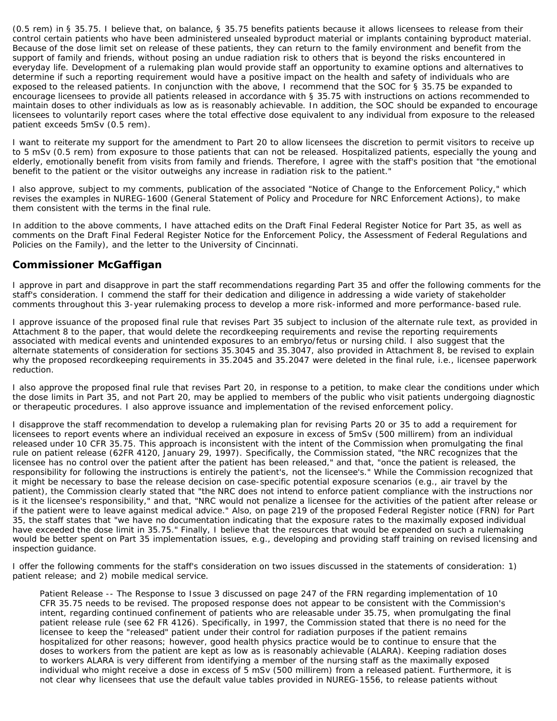(0.5 rem) in § 35.75. I believe that, on balance, § 35.75 benefits patients because it allows licensees to release from their control certain patients who have been administered unsealed byproduct material or implants containing byproduct material. Because of the dose limit set on release of these patients, they can return to the family environment and benefit from the support of family and friends, without posing an undue radiation risk to others that is beyond the risks encountered in everyday life. Development of a rulemaking plan would provide staff an opportunity to examine options and alternatives to determine if such a reporting requirement would have a positive impact on the health and safety of individuals who are exposed to the released patients. In conjunction with the above, I recommend that the SOC for § 35.75 be expanded to *encourage* licensees to provide *all* patients released in accordance with § 35.75 with instructions on actions recommended to maintain doses to other individuals as low as is reasonably achievable. In addition, the SOC should be expanded to encourage licensees to *voluntarily* report cases where the total effective dose equivalent to any individual from exposure to the released patient exceeds 5mSv (0.5 rem).

I want to reiterate my support for the amendment to Part 20 to allow licensees the discretion to permit visitors to receive up to 5 mSv (0.5 rem) from exposure to those patients that can not be released. Hospitalized patients, especially the young and elderly, emotionally benefit from visits from family and friends. Therefore, I agree with the staff's position that "the emotional benefit to the patient or the visitor outweighs any increase in radiation risk to the patient."

I also approve, subject to my comments, publication of the associated "Notice of Change to the Enforcement Policy," which revises the examples in NUREG-1600 (General Statement of Policy and Procedure for NRC Enforcement Actions), to make them consistent with the terms in the final rule.

In addition to the above comments, I have attached edits on the Draft Final Federal Register Notice for Part 35, as well as comments on the Draft Final Federal Register Notice for the Enforcement Policy, the Assessment of Federal Regulations and Policies on the Family), and the letter to the University of Cincinnati.

# **Commissioner McGaffigan**

I approve in part and disapprove in part the staff recommendations regarding Part 35 and offer the following comments for the staff's consideration. I commend the staff for their dedication and diligence in addressing a wide variety of stakeholder comments throughout this 3-year rulemaking process to develop a more risk-informed and more performance-based rule.

I approve issuance of the proposed final rule that revises Part 35 subject to inclusion of the alternate rule text, as provided in Attachment 8 to the paper, that would delete the recordkeeping requirements and revise the reporting requirements associated with medical events and unintended exposures to an embryo/fetus or nursing child. I also suggest that the alternate statements of consideration for sections 35.3045 and 35.3047, also provided in Attachment 8, be revised to explain why the proposed recordkeeping requirements in 35.2045 and 35.2047 were deleted in the final rule, i.e., licensee paperwork reduction.

I also approve the proposed final rule that revises Part 20, in response to a petition, to make clear the conditions under which the dose limits in Part 35, and not Part 20, may be applied to members of the public who visit patients undergoing diagnostic or therapeutic procedures. I also approve issuance and implementation of the revised enforcement policy.

I disapprove the staff recommendation to develop a rulemaking plan for revising Parts 20 or 35 to add a requirement for licensees to report events where an individual received an exposure in excess of 5mSv (500 millirem) from an individual released under 10 CFR 35.75. This approach is inconsistent with the intent of the Commission when promulgating the final rule on patient release (62FR 4120, January 29, 1997). Specifically, the Commission stated, "the NRC recognizes that the licensee has no control over the patient after the patient has been released," and that, "once the patient is released, the responsibility for following the instructions is entirely the patient's, not the licensee's." While the Commission recognized that it might be necessary to base the release decision on case-specific potential exposure scenarios (e.g., air travel by the patient), the Commission clearly stated that "the NRC does not intend to enforce patient compliance with the instructions nor is it the licensee's responsibility," and that, "NRC would not penalize a licensee for the activities of the patient after release or if the patient were to leave against medical advice." Also, on page 219 of the proposed Federal Register notice (FRN) for Part 35, the staff states that "we have no documentation indicating that the exposure rates to the maximally exposed individual have exceeded the dose limit in 35.75." Finally, I believe that the resources that would be expended on such a rulemaking would be better spent on Part 35 implementation issues, e.g., developing and providing staff training on revised licensing and inspection guidance.

I offer the following comments for the staff's consideration on two issues discussed in the statements of consideration: 1) patient release; and 2) mobile medical service.

*Patient Release* -- The Response to Issue 3 discussed on page 247 of the FRN regarding implementation of 10 CFR 35.75 needs to be revised. The proposed response does not appear to be consistent with the Commission's intent, regarding continued confinement of patients who are releasable under 35.75, when promulgating the final patient release rule (see 62 FR 4126). Specifically, in 1997, the Commission stated that there is no need for the licensee to keep the "released" patient under their control for radiation purposes if the patient remains hospitalized for other reasons; however, good health physics practice would be to continue to ensure that the doses to workers from the patient are kept as low as is reasonably achievable (ALARA). Keeping radiation doses to workers ALARA is very different from identifying a member of the nursing staff as the maximally exposed individual who might receive a dose in excess of 5 mSv (500 millirem) from a released patient. Furthermore, it is not clear why licensees that use the default value tables provided in NUREG-1556, to release patients without